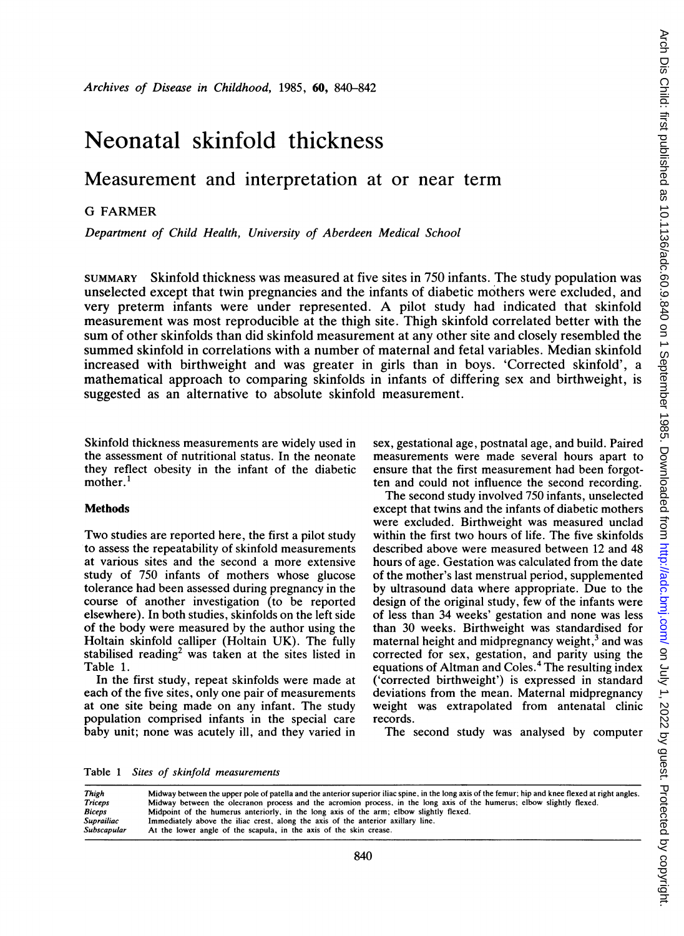# Neonatal skinfold thickness

## Measurement and interpretation at or near term

### G FARMER

Department of Child Health, University of Aberdeen Medical School

SUMMARY Skinfold thickness was measured at five sites in 750 infants. The study population was unselected except that twin pregnancies and the infants of diabetic mothers were excluded, and very preterm infants were under represented. A pilot study had indicated that skinfold measurement was most reproducible at the thigh site. Thigh skinfold correlated better with the sum of other skinfolds than did skinfold measurement at any other site and closely resembled the summed skinfold in correlations with a number of maternal and fetal variables. Median skinfold increased with birthweight and was greater in girls than in boys. 'Corrected skinfold', a mathematical approach to comparing skinfolds in infants of differing sex and birthweight, is suggested as an alternative to absolute skinfold measurement.

Skinfold thickness measurements are widely used in the assessment of nutritional status. In the neonate they reflect obesity in the infant of the diabetic mother.<sup>1</sup>

#### **Methods**

Two studies are reported here, the first <sup>a</sup> pilot study to assess the repeatability of skinfold measurements at various sites and the second a more extensive study of 750 infants of mothers whose glucose tolerance had been assessed during pregnancy in the course of another investigation (to be reported elsewhere). In both studies, skinfolds on the left side of the body were measured by the author using the Holtain skinfold calliper (Holtain UK). The fully stabilised reading<sup>2</sup> was taken at the sites listed in Table 1.

In the first study, repeat skinfolds were made at each of the five sites, only one pair of measurements at one site being made on any infant. The study population comprised infants in the special care baby unit; none was acutely ill, and they varied in

sex, gestational age, postnatal age, and build. Paired measurements were made several hours apart to ensure that the first measurement had been forgotten and could not influence the second recording.

The second study involved 750 infants, unselected except that twins and the infants of diabetic mothers were excluded. Birthweight was measured unclad within the first two hours of life. The five skinfolds described above were measured between 12 and 48 hours of age. Gestation was calculated from the date of the mother's last menstrual period, supplemented by ultrasound data where appropriate. Due to the design of the original study, few of the infants were of less than 34 weeks' gestation and none was less than 30 weeks. Birthweight was standardised for maternal height and midpregnancy weight, $3$  and was corrected for sex, gestation, and parity using the equations of Altman and Coles.4 The resulting index ('corrected birthweight') is expressed in standard deviations from the mean. Maternal midpregnancy weight was extrapolated from antenatal clinic records.

The second study was analysed by computer

Table <sup>1</sup> Sites of skinfold measurements

| Thigh       | Midway between the upper pole of patella and the anterior superior iliac spine, in the long axis of the femur; hip and knee flexed at right angles. |
|-------------|-----------------------------------------------------------------------------------------------------------------------------------------------------|
| Triceps     | Midway between the olecranon process and the acromion process, in the long axis of the humerus; elbow slightly flexed.                              |
| Biceps      | Midpoint of the humerus anteriorly, in the long axis of the arm; elbow slightly flexed.                                                             |
| Suprailiac  | Immediately above the iliac crest, along the axis of the anterior axillary line.                                                                    |
| Subscapular | At the lower angle of the scapula, in the axis of the skin crease.                                                                                  |
|             |                                                                                                                                                     |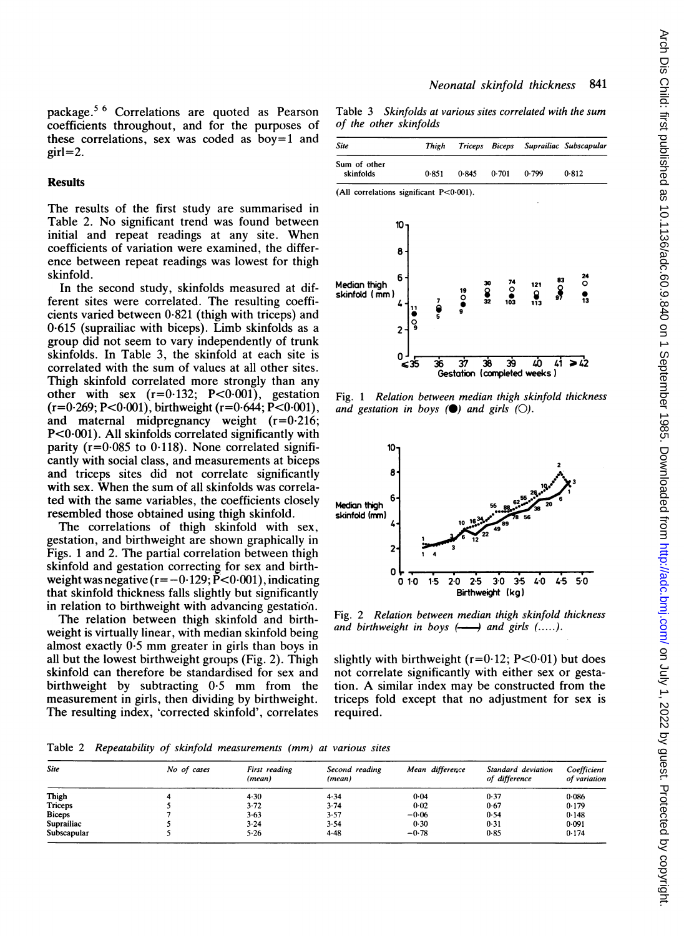package.5 <sup>6</sup> Correlations are quoted as Pearson coefficients throughout, and for the purposes of these correlations, sex was coded as boy=1 and  $girl=2.$ 

#### **Results**

The results of the first study are summarised in Table 2. No significant trend was found between initial and repeat readings at any site. When coefficients of variation were examined, the difference between repeat readings was lowest for thigh skinfold.

In the second study, skinfolds measured at different sites were correlated. The resulting coefficients varied between  $0.821$  (thigh with triceps) and 0-615 (suprailiac with biceps). Limb skinfolds as a group did not seem to vary independently of trunk skinfolds. In Table 3, the skinfold at each site is correlated with the sum of values at all other sites. Thigh skinfold correlated more strongly than any other with sex  $(r=0.132; P<0.001)$ , gestation  $(r=0.269; P<0.001)$ , birthweight  $(r=0.644; P<0.001)$ , and maternal midpregnancy weight  $(r=0.216)$ ; P<O-OO1). All skinfolds correlated significantly with parity ( $r=0.085$  to 0.118). None correlated significantly with social class, and measurements at biceps and triceps sites did not correlate significantly with sex. When the sum of all skinfolds was correlated with the same variables, the coefficients closely resembled those obtained using thigh skinfold.

The correlations of thigh skinfold with sex, gestation, and birthweight are shown graphically in Figs. <sup>1</sup> and 2. The partial correlation between thigh skinfold and gestation correcting for sex and birthweight was negative ( $r=-0.129$ ;  $\bar{P}$  < 0.001), indicating that skinfold thickness falls slightly but significantly in relation to birthweight with advancing gestation.

The relation between thigh skinfold and birthweight is virtually linear, with median skinfold being almost exactly 0-5 mm greater in girls than boys in all but the lowest birthweight groups (Fig. 2). Thigh skinfold can therefore be standardised for sex and birthweight by subtracting 0-5 mm from the measurement in girls, then dividing by birthweight. The resulting index, 'corrected skinfold', correlates

Table 3 Skinfolds at various sites correlated with the sum of the other skinfolds

| <b>Site</b>                             |                                     | Thigh  | Triceps             | <b>Biceps</b>                                 |                                   | Suprailiac Subscapular               |
|-----------------------------------------|-------------------------------------|--------|---------------------|-----------------------------------------------|-----------------------------------|--------------------------------------|
| Sum of other<br>skinfolds               |                                     | 0.851  | 0.845               | 0.701                                         | 0.799                             | 0.812                                |
| (All correlations significant P<0.001). |                                     |        |                     |                                               |                                   |                                      |
| Median thigh<br>skinfold (mm)           | 10.<br>8<br>6<br>11<br>್ಡ<br>2<br>n | 7<br>š | $\frac{19}{2}$<br>9 | $\frac{74}{9}$<br>30<br>$\frac{8}{32}$<br>103 | 121<br>٥<br>113                   | 24<br>83<br>Q<br>o<br>$\frac{1}{13}$ |
|                                         | ≤35                                 | 36     | 37                  | 39<br>38                                      | ۷ņ<br>Gestation (completed weeks) | 41<br>> 42                           |

Fig. <sup>1</sup> Relation between median thigh skinfold thickness and gestation in boys  $(\bullet)$  and girls  $(\circ)$ .



Fig. 2 Relation between median thigh skinfold thickness and birthweight in boys  $\longleftrightarrow$  and girls  $(...).$ 

slightly with birthweight ( $r=0.12$ ; P<0.01) but does not correlate significantly with either sex or gestation. A similar index may be constructed from the triceps fold except that no adjustment for sex is required.

Table 2 Repeatability of skinfold measurements (mm) at various sites

| <b>Site</b>   | No of cases | First reading<br>(mean) | Second reading<br>(mean) | Mean difference | Standard deviation<br>of difference | Coefficient<br>of variation |
|---------------|-------------|-------------------------|--------------------------|-----------------|-------------------------------------|-----------------------------|
| Thigh         |             | 4.30                    | 4.34                     | 0.04            | 0.37                                | 0.086                       |
| Triceps       |             | $3 - 72$                | 3.74                     | $0 - 02$        | 0.67                                | 0.179                       |
| <b>Biceps</b> |             | 3.63                    | 3.57                     | $-0.06$         | 0.54                                | 0.148                       |
| Suprailiac    |             | $3 - 24$                | $3 - 54$                 | 0.30            | 0.31                                | 0.091                       |
| Subscapular   |             | $5 - 26$                | $4 - 48$                 | $-0.78$         | 0.85                                | 0.174                       |